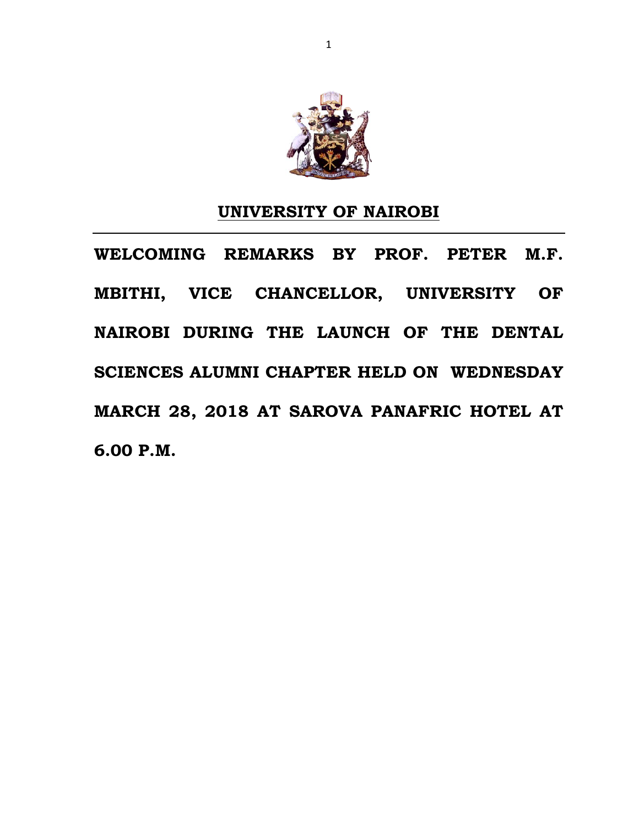

#### **UNIVERSITY OF NAIROBI**

**WELCOMING REMARKS BY PROF. PETER M.F. MBITHI, VICE CHANCELLOR, UNIVERSITY OF NAIROBI DURING THE LAUNCH OF THE DENTAL SCIENCES ALUMNI CHAPTER HELD ON WEDNESDAY MARCH 28, 2018 AT SAROVA PANAFRIC HOTEL AT 6.00 P.M.**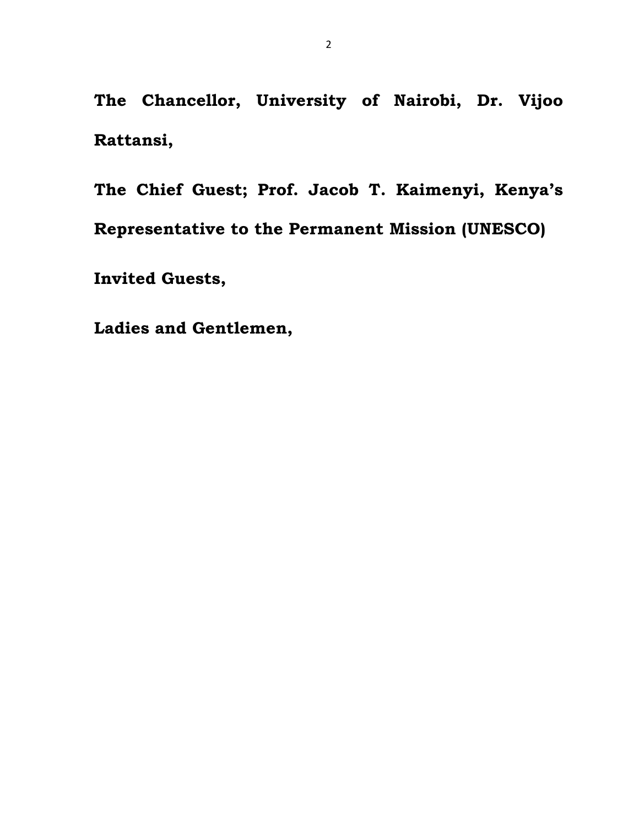**The Chancellor, University of Nairobi, Dr. Vijoo Rattansi,**

**The Chief Guest; Prof. Jacob T. Kaimenyi, Kenya's Representative to the Permanent Mission (UNESCO)**

**Invited Guests,**

**Ladies and Gentlemen,**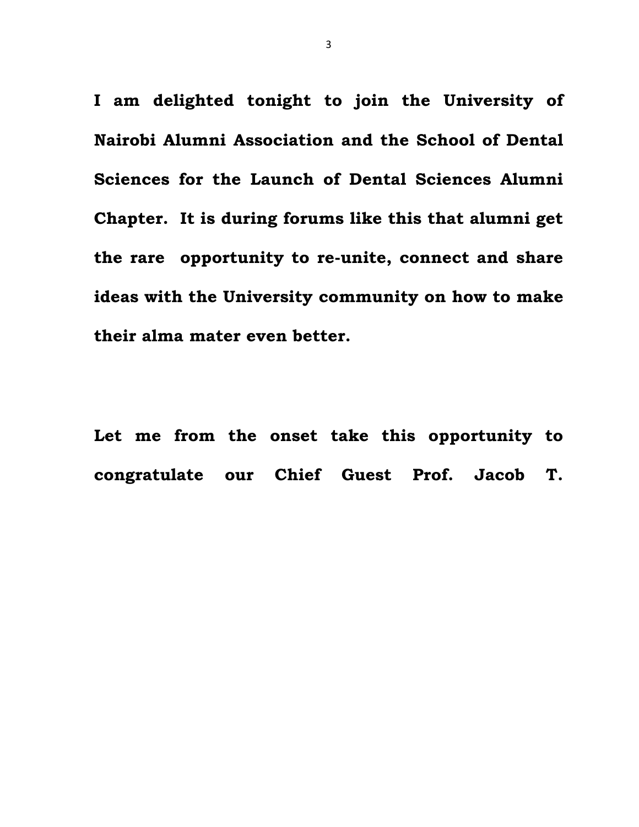**I am delighted tonight to join the University of Nairobi Alumni Association and the School of Dental Sciences for the Launch of Dental Sciences Alumni Chapter. It is during forums like this that alumni get the rare opportunity to re-unite, connect and share ideas with the University community on how to make their alma mater even better.**

**Let me from the onset take this opportunity to congratulate our Chief Guest Prof. Jacob T.**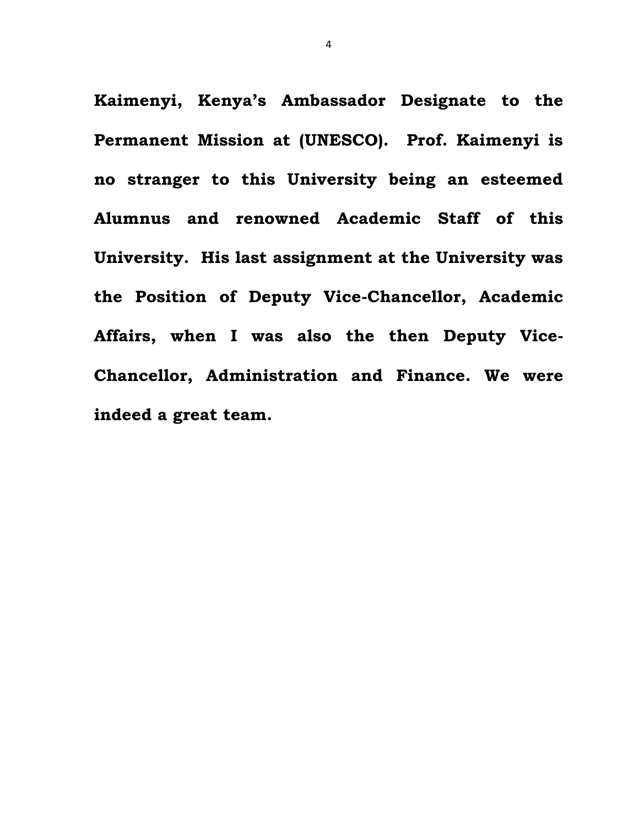**Kaimenyi, Kenya's Ambassador Designate to the Permanent Mission at (UNESCO). Prof. Kaimenyi is no stranger to this University being an esteemed Alumnus and renowned Academic Staff of this University. His last assignment at the University was the Position of Deputy Vice-Chancellor, Academic Affairs, when I was also the then Deputy Vice-Chancellor, Administration and Finance. We were indeed a great team.**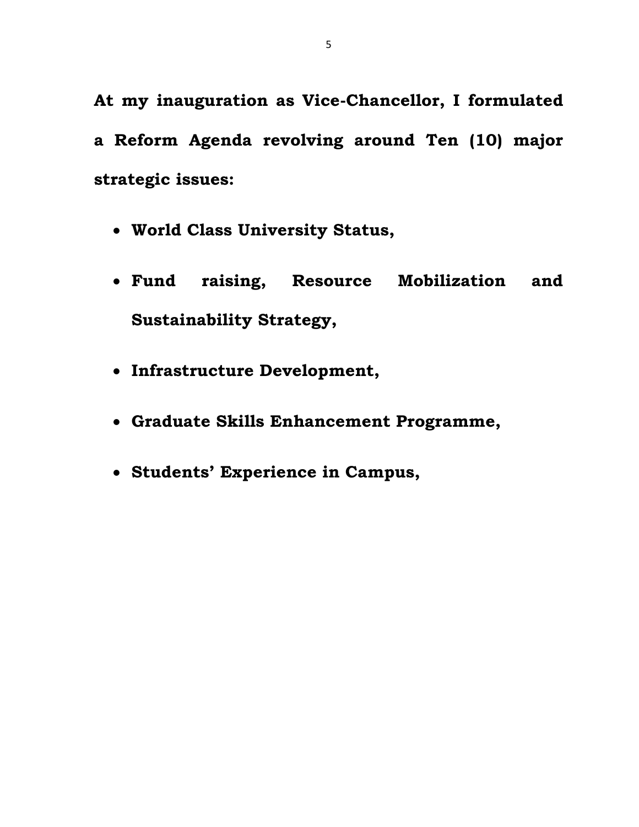**At my inauguration as Vice-Chancellor, I formulated a Reform Agenda revolving around Ten (10) major strategic issues:** 

- **World Class University Status,**
- **Fund raising, Resource Mobilization and Sustainability Strategy,**
- **Infrastructure Development,**
- **Graduate Skills Enhancement Programme,**
- **Students' Experience in Campus,**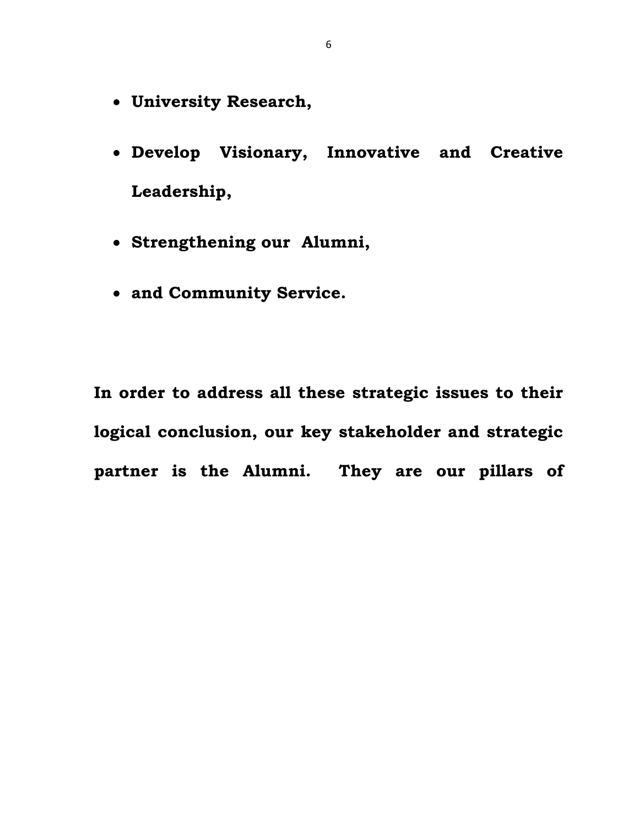- **University Research,**
- **Develop Visionary, Innovative and Creative Leadership,**
- **Strengthening our Alumni,**
- **and Community Service.**

**In order to address all these strategic issues to their logical conclusion, our key stakeholder and strategic partner is the Alumni. They are our pillars of**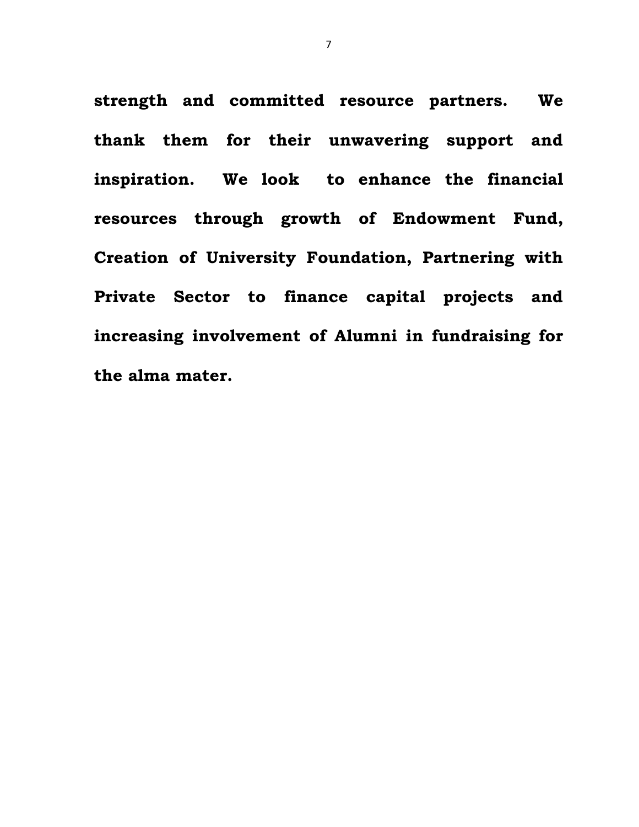**strength and committed resource partners. We thank them for their unwavering support and inspiration. We look to enhance the financial resources through growth of Endowment Fund, Creation of University Foundation, Partnering with Private Sector to finance capital projects and increasing involvement of Alumni in fundraising for the alma mater.**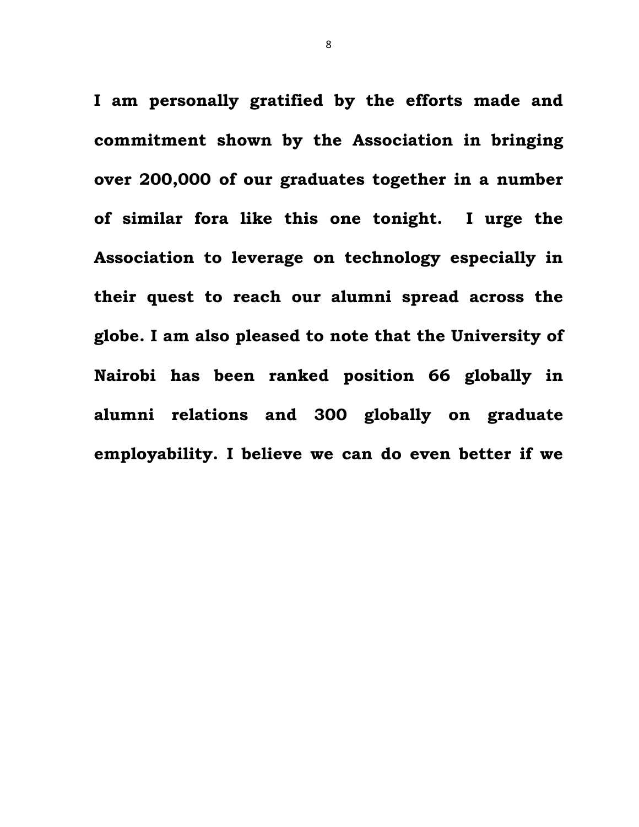**I am personally gratified by the efforts made and commitment shown by the Association in bringing over 200,000 of our graduates together in a number of similar fora like this one tonight. I urge the Association to leverage on technology especially in their quest to reach our alumni spread across the globe. I am also pleased to note that the University of Nairobi has been ranked position 66 globally in alumni relations and 300 globally on graduate employability. I believe we can do even better if we** 

8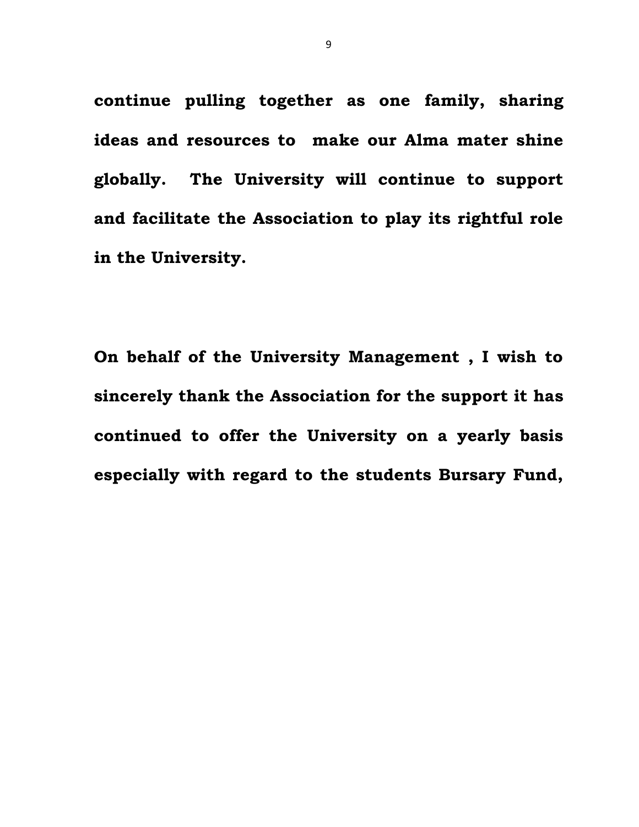**continue pulling together as one family, sharing ideas and resources to make our Alma mater shine globally. The University will continue to support and facilitate the Association to play its rightful role in the University.**

**On behalf of the University Management , I wish to sincerely thank the Association for the support it has continued to offer the University on a yearly basis especially with regard to the students Bursary Fund,**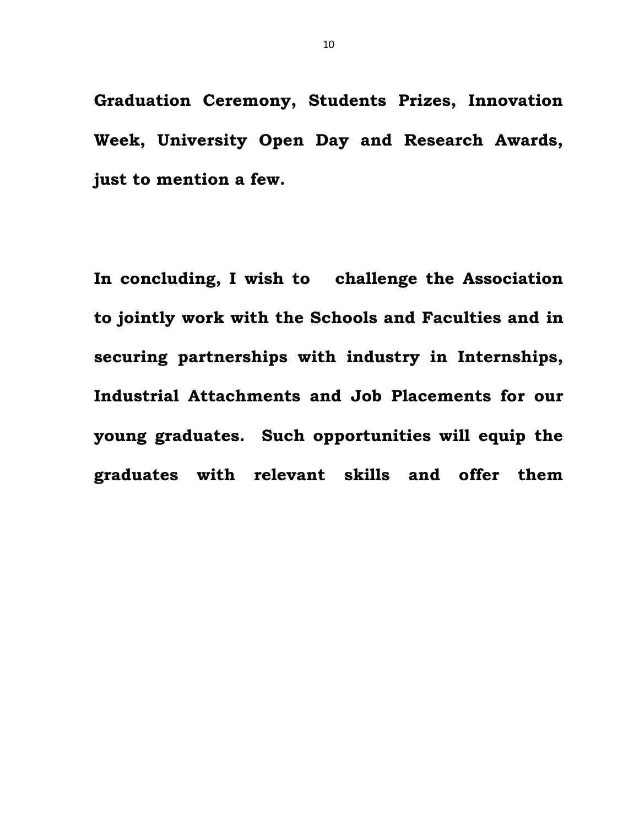**Graduation Ceremony, Students Prizes, Innovation Week, University Open Day and Research Awards, just to mention a few.**

**In concluding, I wish to challenge the Association to jointly work with the Schools and Faculties and in securing partnerships with industry in Internships, Industrial Attachments and Job Placements for our young graduates. Such opportunities will equip the graduates with relevant skills and offer them**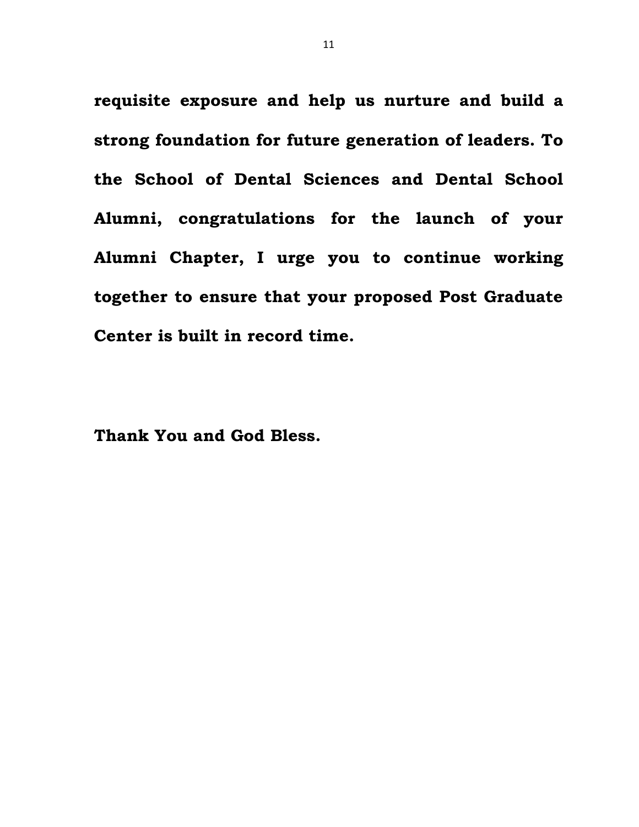**requisite exposure and help us nurture and build a strong foundation for future generation of leaders. To the School of Dental Sciences and Dental School Alumni, congratulations for the launch of your Alumni Chapter, I urge you to continue working together to ensure that your proposed Post Graduate Center is built in record time.** 

**Thank You and God Bless.**